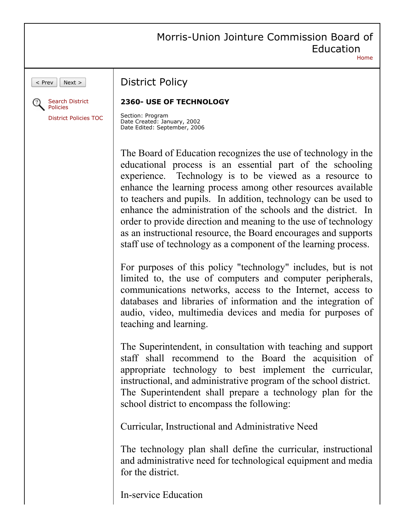| Morris-Union Jointure Commission Board of |
|-------------------------------------------|
| Education                                 |
| Home.                                     |

 $<$  Prev | Next >



## District Policy

## **2360- USE OF TECHNOLOGY**

Section: Program Date Created: January, 2002 Date Edited: September, 2006

The Board of Education recognizes the use of technology in the educational process is an essential part of the schooling experience. Technology is to be viewed as a resource to enhance the learning process among other resources available to teachers and pupils. In addition, technology can be used to enhance the administration of the schools and the district. In order to provide direction and meaning to the use of technology as an instructional resource, the Board encourages and supports staff use of technology as a component of the learning process.

For purposes of this policy "technology" includes, but is not limited to, the use of computers and computer peripherals, communications networks, access to the Internet, access to databases and libraries of information and the integration of audio, video, multimedia devices and media for purposes of teaching and learning.

The Superintendent, in consultation with teaching and support staff shall recommend to the Board the acquisition of appropriate technology to best implement the curricular, instructional, and administrative program of the school district. The Superintendent shall prepare a technology plan for the school district to encompass the following:

Curricular, Instructional and Administrative Need

The technology plan shall define the curricular, instructional and administrative need for technological equipment and media for the district.

In-service Education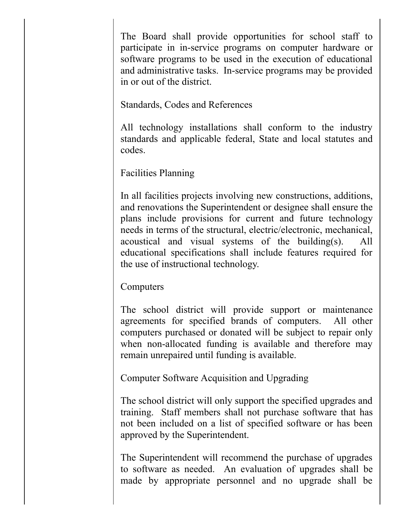The Board shall provide opportunities for school staff to participate in in-service programs on computer hardware or software programs to be used in the execution of educational and administrative tasks. In-service programs may be provided in or out of the district.

Standards, Codes and References

All technology installations shall conform to the industry standards and applicable federal, State and local statutes and codes.

Facilities Planning

In all facilities projects involving new constructions, additions, and renovations the Superintendent or designee shall ensure the plans include provisions for current and future technology needs in terms of the structural, electric/electronic, mechanical, acoustical and visual systems of the building(s). All educational specifications shall include features required for the use of instructional technology.

Computers

The school district will provide support or maintenance agreements for specified brands of computers. All other computers purchased or donated will be subject to repair only when non-allocated funding is available and therefore may remain unrepaired until funding is available.

Computer Software Acquisition and Upgrading

The school district will only support the specified upgrades and training. Staff members shall not purchase software that has not been included on a list of specified software or has been approved by the Superintendent.

The Superintendent will recommend the purchase of upgrades to software as needed. An evaluation of upgrades shall be made by appropriate personnel and no upgrade shall be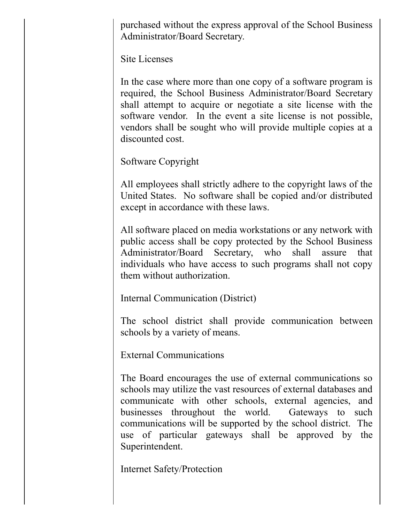purchased without the express approval of the School Business Administrator/Board Secretary.

Site Licenses

In the case where more than one copy of a software program is required, the School Business Administrator/Board Secretary shall attempt to acquire or negotiate a site license with the software vendor. In the event a site license is not possible, vendors shall be sought who will provide multiple copies at a discounted cost.

Software Copyright

All employees shall strictly adhere to the copyright laws of the United States. No software shall be copied and/or distributed except in accordance with these laws.

All software placed on media workstations or any network with public access shall be copy protected by the School Business Administrator/Board Secretary, who shall assure that individuals who have access to such programs shall not copy them without authorization.

Internal Communication (District)

The school district shall provide communication between schools by a variety of means.

External Communications

The Board encourages the use of external communications so schools may utilize the vast resources of external databases and communicate with other schools, external agencies, and businesses throughout the world. Gateways to such communications will be supported by the school district. The use of particular gateways shall be approved by the Superintendent.

Internet Safety/Protection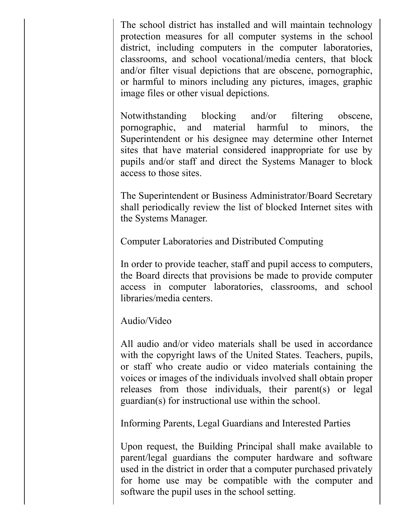The school district has installed and will maintain technology protection measures for all computer systems in the school district, including computers in the computer laboratories, classrooms, and school vocational/media centers, that block and/or filter visual depictions that are obscene, pornographic, or harmful to minors including any pictures, images, graphic image files or other visual depictions.

Notwithstanding blocking and/or filtering obscene, pornographic, and material harmful to minors, the Superintendent or his designee may determine other Internet sites that have material considered inappropriate for use by pupils and/or staff and direct the Systems Manager to block access to those sites.

The Superintendent or Business Administrator/Board Secretary shall periodically review the list of blocked Internet sites with the Systems Manager.

Computer Laboratories and Distributed Computing

In order to provide teacher, staff and pupil access to computers, the Board directs that provisions be made to provide computer access in computer laboratories, classrooms, and school libraries/media centers.

Audio/Video

All audio and/or video materials shall be used in accordance with the copyright laws of the United States. Teachers, pupils, or staff who create audio or video materials containing the voices or images of the individuals involved shall obtain proper releases from those individuals, their parent(s) or legal guardian(s) for instructional use within the school.

Informing Parents, Legal Guardians and Interested Parties

Upon request, the Building Principal shall make available to parent/legal guardians the computer hardware and software used in the district in order that a computer purchased privately for home use may be compatible with the computer and software the pupil uses in the school setting.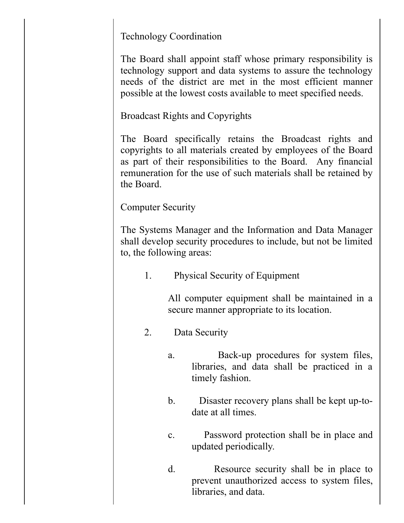## Technology Coordination

The Board shall appoint staff whose primary responsibility is technology support and data systems to assure the technology needs of the district are met in the most efficient manner possible at the lowest costs available to meet specified needs.

Broadcast Rights and Copyrights

The Board specifically retains the Broadcast rights and copyrights to all materials created by employees of the Board as part of their responsibilities to the Board. Any financial remuneration for the use of such materials shall be retained by the Board.

Computer Security

The Systems Manager and the Information and Data Manager shall develop security procedures to include, but not be limited to, the following areas:

1. Physical Security of Equipment

All computer equipment shall be maintained in a secure manner appropriate to its location.

- 2. Data Security
	- a. Back-up procedures for system files, libraries, and data shall be practiced in a timely fashion.
	- b. Disaster recovery plans shall be kept up-todate at all times.
	- c. Password protection shall be in place and updated periodically.
	- d. Resource security shall be in place to prevent unauthorized access to system files, libraries, and data.